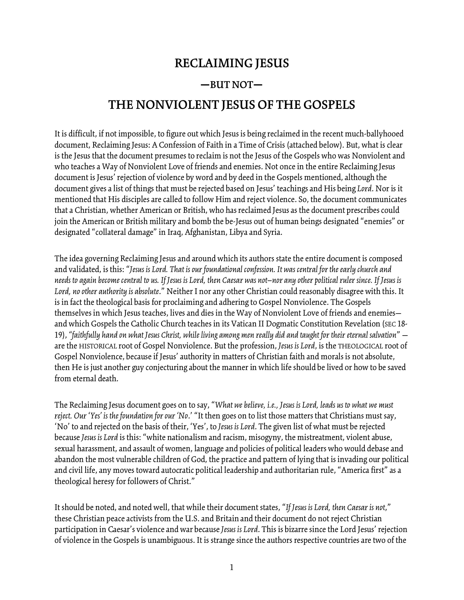## **RECLAIMING JESUS**

## **—BUT NOT—**

## **THE NONVIOLENT JESUSOF THE GOSPELS**

It is difficult, if not impossible, to figure out which Jesus is being reclaimed in therecent much-ballyhooed document, Reclaiming Jesus: A Confession of Faith in a Time of Crisis (attached below). But, what is clear is the Jesus that the document presumes to reclaim is not the Jesus of the Gospels who was Nonviolent and who teaches a Way of Nonviolent Love of friends and enemies. Not once in the entire Reclaiming Jesus document is Jesus' rejection of violence by word and by deed in the Gospels mentioned, although the document givesalist of things that must berejected based on Jesus' teachingsand His being *Lord*. Nor is it mentioned that His disciples are called to follow Him and reject violence. So, the document communicates that a Christian, whether American or British, who has reclaimed Jesus as the document prescribes could join the American or British military and bomb the be-Jesus out of human beings designated "enemies" or designated "collateral damage" in Iraq, Afghanistan, Libya and Syria.

The idea governing Reclaiming Jesus and around which its authors state the entire document is composed and validated, is this: "*Jesus is Lord. That isour foundational confession. It was central forthe early church and* needs to again become central to us. If Jesus is Lord, then Caesar was not–nor any other political ruler since. If Jesus is Lord, no other authority is absolute." Neither I nor any other Christian could reasonably disagree with this. It is in fact the theological basis for proclaiming and adhering to Gospel Nonviolence. The Gospels themselves in which Jesus teaches, lives and dies in the Way of Nonviolent Love of friends and enemiesand which Gospels the Catholic Church teaches in its Vatican II Dogmatic Constitution Revelation (SEC 18- 19), "faithfully hand on what Jesus Christ, while living among men really did and taught for their eternal salvation" arethe HISTORICAL root of Gospel Nonviolence. But the profession, *Jesus is Lord*, is the THEOLOGICAL root of Gospel Nonviolence, because if Jesus' authority in matters of Christian faith and morals is not absolute, then He is just another guy conjecturing about the manner in which life should be lived or how to be saved from eternal death.

The Reclaiming Jesus document goes on to say, "*What webelieve, i.e., Jesus is Lord, leads us to what we must reject. Our* '*Yes' is the foundation for our 'No*.' "It then goes on to list those matters that Christians must say, 'No' to and rejected on the basis of their, 'Yes', to *Jesus is Lord*. The given list of what must berejected because*Jesus is Lord* is this: "white nationalism and racism, misogyny, the mistreatment, violentabuse, sexual harassment, and assault of women, language and policies of political leaders who would debase and abandon the most vulnerable children of God, the practice and pattern of lying that is invading our political and civil life, any moves toward autocratic political leadership and authoritarian rule, "America first" as a theological heresy for followers of Christ."

It should be noted, and noted well, that while their document states, "If Jesus is Lord, then Caesar is not," these Christian peace activists from the U.S. and Britain and their document do not reject Christian participation in Caesar's violence and war because Jesus is Lord. This is bizarre since the Lord Jesus' rejection of violence in the Gospels is unambiguous. It is strange since the authors respective countries are two of the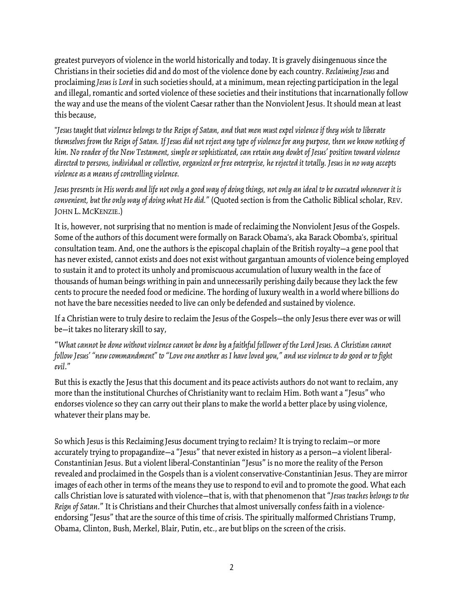greatest purveyors of violence in the world historically and today. It is gravely disingenuous since the Christians in their societies did and do most of the violence done by each country. *Reclaiming Jesus*and proclaiming *Jesus* is *Lord* in such societies should, at a minimum, mean rejecting participation in the legal and illegal, romantic and sorted violence of these societies and their institutions that incarnationally follow the way and use the means of the violent Caesar rather than the Nonviolent Jesus. It should mean at least this because,

"Jesus taught that violence belongs to the Reign of Satan, and that men must expel violence if they wish to liberate themselves from the Reign of Satan. If Jesus did not reject any type of violence for any purpose, then we know nothing of *him. No reader of the New Testament, simpleorsophisticated, can retain any doubtof Jesus'position toward violence* directed to persons, individual or collective, organized or free enterprise, he rejected it totally. Jesus in no way accepts *violence as a meansof controllingviolence.*

Jesus presents in His words and life not only a good way of doing things, not only an ideal to be executed whenever it is *convenient, but the only way of doing what He did." (Quoted section is from the Catholic Biblical scholar, REV.* JOHN L.MCKENZIE.)

It is, however, not surprising that no mention is made of reclaiming the Nonviolent Jesus of the Gospels. Some of the authors of this document were formally on Barack Obama's, aka Barack Obomba's, spiritual consultation team. And, one the authors is the episcopal chaplain of the British royalty—a gene pool that has never existed, cannot exists and does not exist without gargantuan amounts of violence being employed to sustain it and to protect its unholy and promiscuous accumulation of luxury wealth in the face of thousands of human beings writhing in pain and unnecessarily perishing daily because they lack the few cents to procure the needed food or medicine. The hording of luxury wealth in a world where billions do not have the bare necessities needed to live can only be defended and sustained by violence.

If a Christian were to truly desire to reclaim the Jesus of the Gospels—the only Jesus there ever was or will be—it takes no literary skill to say,

"*What cannotbe done withoutviolence cannotbe doneby a faithful followerof the Lord Jesus. A Christian cannot* follow Jesus' "new commandment" to "Love one another as I have loved you," and use violence to do good or to fight *evil*."

But this is exactly the Jesus that this document and its peace activists authors do not want to reclaim, any more than the institutional Churches of Christianity want to reclaim Him. Both want a "Jesus" who endorses violence so they can carry out their plans to make the world a better place by using violence, whatever their plans may be.

So which Jesus is this Reclaiming Jesus document trying to reclaim? It is trying to reclaim—or more accurately trying to propagandize—a "Jesus" that never existed in history as a person—a violent liberal-Constantinian Jesus. But a violent liberal-Constantinian "Jesus" is no more the reality of the Person revealed and proclaimed in the Gospels than is a violent conservative-Constantinian Jesus. They are mirror images of each other in terms of the means they use to respond to evil and to promote the good. What each calls Christian loveis saturated with violence—that is, with that phenomenon that "*Jesus teachesbelongs to the Reign of Satan*." It is Christiansand their Churches thatalmost universally confess faith in a violenceendorsing "Jesus" that are the source of this time of crisis. The spiritually malformed Christians Trump, Obama, Clinton, Bush, Merkel, Blair, Putin, etc., are but blips on the screen of the crisis.